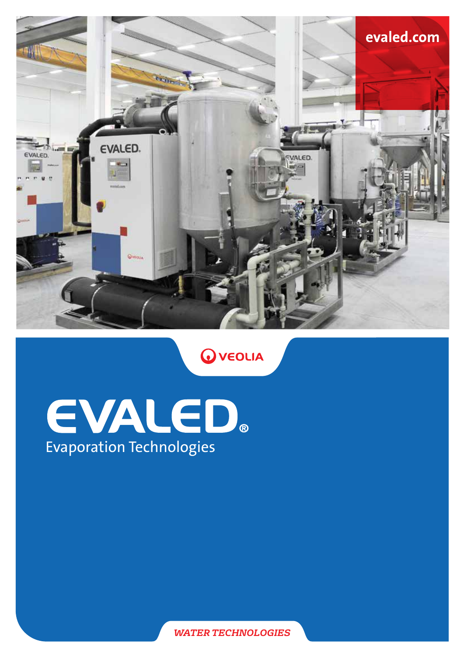

**O** VEOLIA

# EVALED. Evaporation Technologies

*WATER TECHNOLOGIES*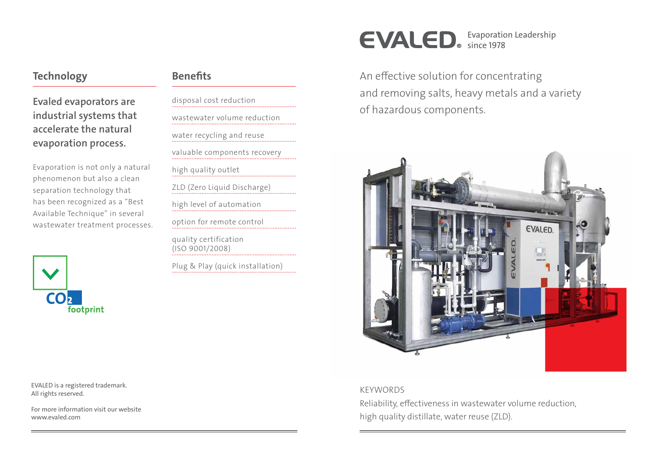EVALED is a registered trademark. All rights reserved.

For more information visit our website www.evaled.com

An effective solution for concentrating and removing salts, heavy metals and a variety of hazardous components.



KEYWORDS

Reliability, effectiveness in wastewater volume reduction, high quality distillate, water reuse (ZLD).

#### **Technology**

Evaled evaporators are industrial systems that accelerate the natural evaporation process.

Evaporation is not only a natural phenomenon but also a clean separation technology that has been recognized as a "Best Available Technique" in several wastewater treatment processes.



#### **Benefits**

disposal cost reduction wastewater volume reduction water recycling and reuse valuable components recovery high quality outlet ZLD (Zero Liquid Discharge) high level of automation option for remote control quality certification (ISO 9001/2008) Plug & Play (quick installation) Evaporation Leadership

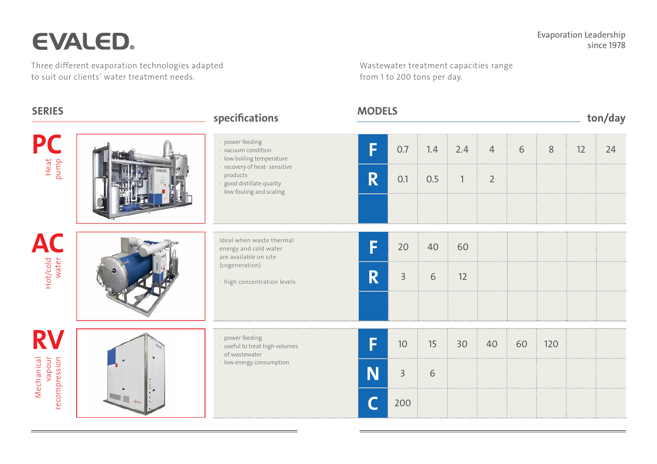# EVALED.

Three different evaporation technologies adapted to suit our clients' water treatment needs.

Wastewater treatment capacities range from 1 to 200 tons per day.

#### Heat<br>pump Hot/cold water Mechanical<br>vapour<br>recompression Ideal when waste thermal energy and cold water are available on site (cogeneration) · high concentration levels power feeding · useful to treat high volumes of wastewater · low energy consumption **P AC** RV SERIES MODELS MODELS MODELS ton/day  $\begin{array}{|c|c|c|c|c|c|c|c|c|} \hline \textbf{F} & \textbf{10} & \textbf{15} & \textbf{30} & \textbf{40} & \textbf{60} & \textbf{120} \ \hline \end{array}$ N 3 6 C 200  $\begin{array}{|c|c|c|c|}\n\hline\n\textbf{F} & 20 & 40 & 60 \\
\hline\n\end{array}$ R 3 6 12 power feeding · vacuum condition · low boiling temperature · recovery of heat- sensitive products · good distillate quality · low fouling and scaling  $\begin{array}{|c|c|c|c|c|c|c|c|c|} \hline \ \textbf{F} & \textbf{0.7} & \textbf{1.4} & \textbf{2.4} & \textbf{4} & \textbf{6} & \textbf{8} & \textbf{12} & \textbf{24} \ \hline \end{array}$  $\begin{array}{|c|c|c|c|c|}\n\hline\n\mathbf{R} & 0.1 & 0.5 & 1 & 2 \\
\hline\n\end{array}$

| ton/day |    |                               |    |        |
|---------|----|-------------------------------|----|--------|
|         | 6  | <br>$\ddot{\phantom{a}}$<br>8 | 12 | <br>24 |
|         |    |                               |    |        |
|         |    |                               |    |        |
|         |    |                               |    |        |
|         |    |                               |    |        |
|         |    |                               |    |        |
|         |    |                               |    |        |
|         |    |                               |    |        |
|         | 60 | <br>120                       |    |        |
|         |    |                               |    |        |
|         |    |                               |    |        |
|         |    |                               |    |        |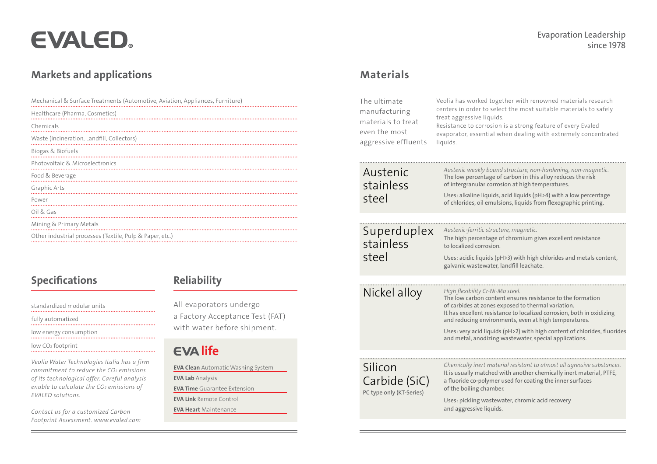# EVALED.

#### Markets and applications and according to the Materials Materials and Materials and Materials and Materials and Materials and Materials and Materials and Materials and Materials and Materials and Materials and Materials an

### Reliability

All evaporators undergo a Factory Acceptance Test (FAT) with water before shipment.

## EVA life

|  | The ultimate<br>manufacturing<br>materials to treat<br>even the most<br>aggressive effluents | Veolia has worked toget<br>centers in order to selec<br>treat aggressive liquids.<br>Resistance to corrosion i<br>evaporator, essential wh<br>liquids.                                       |
|--|----------------------------------------------------------------------------------------------|----------------------------------------------------------------------------------------------------------------------------------------------------------------------------------------------|
|  | Austenic<br>stainless<br>steel                                                               | Austenic weakly bound.<br>The low percentage of<br>of intergranular corrosi<br>Uses: alkaline liquids, a<br>of chlorides, oil emulsic                                                        |
|  | Superduplex<br>stainless<br>steel                                                            | Austenic-ferritic structu.<br>The high percentage of<br>to localized corrosion.<br>Uses: acidic liquids (pH<br>galvanic wastewater, la                                                       |
|  | Nickel alloy                                                                                 | High flexibility Cr-Ni-Mo<br>The low carbon content<br>of carbides at zones exp<br>It has excellent resistan<br>and reducing environm<br>Uses: very acid liquids (<br>and metal, anodizing w |
|  | Silicon<br>Carbide (SiC)<br>PC type only (KT-Series)                                         | Chemically inert materi<br>It is usually matched wi<br>a fluoride co-polymer u<br>of the boiling chamber.<br>Uses: pickling wastewa<br>and aggressive liquids.                               |
|  |                                                                                              |                                                                                                                                                                                              |

*Chemically inert material resistant to almost all agressive substances.*

with another chemically inert material, PTFE, r used for coating the inner surfaces

water, chromic acid recovery

| Mechanical & Surface Treatments (Automotive, Aviation, Appliances, Furniture) |
|-------------------------------------------------------------------------------|
| Healthcare (Pharma, Cosmetics)                                                |
| Chemicals                                                                     |
| Waste (Incineration, Landfill, Collectors)                                    |
| Biogas & Biofuels                                                             |
| Photovoltaic & Microelectronics                                               |
| Food & Beverage                                                               |
| Graphic Arts                                                                  |
| Power                                                                         |
| Oil & Gas                                                                     |
| Mining & Primary Metals                                                       |
| Other industrial processes (Textile, Pulp & Paper, etc.)                      |
|                                                                               |

## **Specifications**

#### Evaporation Leadership since 1978

vether with renowned materials research lect the most suitable materials to safely on is a strong feature of every Evaled when dealing with extremely concentrated *Austenic weakly bound structure, non-hardening, non-magnetic.* of carbon in this alloy reduces the risk osion at high temperatures.  $U_5$ , acid liquids (pH>4) with a low percentage Isions, liquids from flexographic printing. . . . . . . . . . . . . . . . . *Austenic-ferritic structure, magnetic.*  of chromium gives excellent resistance pH>3) with high chlorides and metals content, landfill leachate. *Mo steel.* ent ensures resistance to the formation exposed to thermal variation. tance to localized corrosion, both in oxidizing and reducions and reducions, and reduces and the ments, even at  $arctan$ 

Is (pH>2) with high content of chlorides, fluorides g wastewater, special applications.

EVA Clean Automatic Washing System EVA Lab Analysis EVA Time Guarantee Extension EVA Link Remote Control EVA Heart Maintenance

standardized modular units

fully automatized

low energy consumption

low CO<sub>2</sub> footprint

*Veolia Water Technologies Italia has a firm commitment to reduce the CO2 emissions of its technological offer. Careful analysis enable to calculate the CO2 emissions of EVALED solutions.* 

*Contact us for a customized Carbon Footprint Assessment. www.evaled.com*